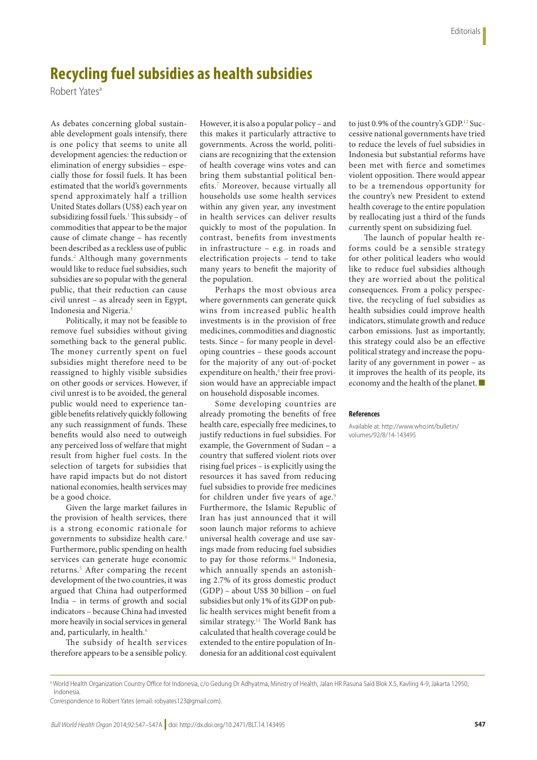## **Recycling fuel subsidies as health subsidies**

Robert Yatesa

As debates concerning global sustainable development goals intensify, there is one policy that seems to unite all development agencies: the reduction or elimination of energy subsidies – especially those for fossil fuels. It has been estimated that the world's governments spend approximately half a trillion United States dollars (US\$) each year on subsidizing fossil fuels.<sup>1</sup> This subsidy – of commodities that appear to be the major cause of climate change – has recently been described as a reckless use of public funds[.2](#page-1-1) Although many governments would like to reduce fuel subsidies, such subsidies are so popular with the general public, that their reduction can cause civil unrest – as already seen in Egypt, Indonesia and Nigeria.<sup>3</sup>

Politically, it may not be feasible to remove fuel subsidies without giving something back to the general public. The money currently spent on fuel subsidies might therefore need to be reassigned to highly visible subsidies on other goods or services. However, if civil unrest is to be avoided, the general public would need to experience tangible benefits relatively quickly following any such reassignment of funds. These benefits would also need to outweigh any perceived loss of welfare that might result from higher fuel costs. In the selection of targets for subsidies that have rapid impacts but do not distort national economies, health services may be a good choice.

Given the large market failures in the provision of health services, there is a strong economic rationale for governments to subsidize health care.[4](#page-1-3) Furthermore, public spending on health services can generate huge economic returns.<sup>[5](#page-1-4)</sup> After comparing the recent development of the two countries, it was argued that China had outperformed India – in terms of growth and social indicators – because China had invested more heavily in social services in general and, particularly, in health.<sup>[6](#page-1-5)</sup>

The subsidy of health services therefore appears to be a sensible policy.

However, it is also a popular policy – and this makes it particularly attractive to governments. Across the world, politicians are recognizing that the extension of health coverage wins votes and can bring them substantial political benefits.[7](#page-1-6) Moreover, because virtually all households use some health services within any given year, any investment in health services can deliver results quickly to most of the population. In contrast, benefits from investments in infrastructure – e.g. in roads and electrification projects – tend to take many years to benefit the majority of the population.

Perhaps the most obvious area where governments can generate quick wins from increased public health investments is in the provision of free medicines, commodities and diagnostic tests. Since – for many people in developing countries – these goods account for the majority of any out-of-pocket expenditure on health,<sup>[8](#page-1-7)</sup> their free provision would have an appreciable impact on household disposable incomes.

Some developing countries are already promoting the benefits of free health care, especially free medicines, to justify reductions in fuel subsidies. For example, the Government of Sudan – a country that suffered violent riots over rising fuel prices – is explicitly using the resources it has saved from reducing fuel subsidies to provide free medicines for children under five years of age.<sup>[9](#page-1-8)</sup> Furthermore, the Islamic Republic of Iran has just announced that it will soon launch major reforms to achieve universal health coverage and use savings made from reducing fuel subsidies to pay for those reforms.<sup>[10](#page-1-9)</sup> Indonesia, which annually spends an astonishing 2.7% of its gross domestic product (GDP) – about US\$ 30 billion – on fuel subsidies but only 1% of its GDP on public health services might benefit from a similar strategy.<sup>[11](#page-1-10)</sup> The World Bank has calculated that health coverage could be extended to the entire population of Indonesia for an additional cost equivalent

to just 0.9% of the country's GDP.<sup>[12](#page-1-11)</sup> Successive national governments have tried to reduce the levels of fuel subsidies in Indonesia but substantial reforms have been met with fierce and sometimes violent opposition. There would appear to be a tremendous opportunity for the country's new President to extend health coverage to the entire population by reallocating just a third of the funds currently spent on subsidizing fuel.

The launch of popular health reforms could be a sensible strategy for other political leaders who would like to reduce fuel subsidies although they are worried about the political consequences. From a policy perspective, the recycling of fuel subsidies as health subsidies could improve health indicators, stimulate growth and reduce carbon emissions. Just as importantly, this strategy could also be an effective political strategy and increase the popularity of any government in power – as it improves the health of its people, its economy and the health of the planet. ■

## **References**

Available at: http://www.who.int/bulletin/ volumes/92/8/14-143495

a World Health Organization Country Office for Indonesia, c/o Gedung Dr Adhyatma, Ministry of Health, Jalan HR Rasuna Said Blok X.5, Kavling 4-9, Jakarta 12950, Indonesia.

Correspondence to Robert Yates (email: robyates123@gmail.com).